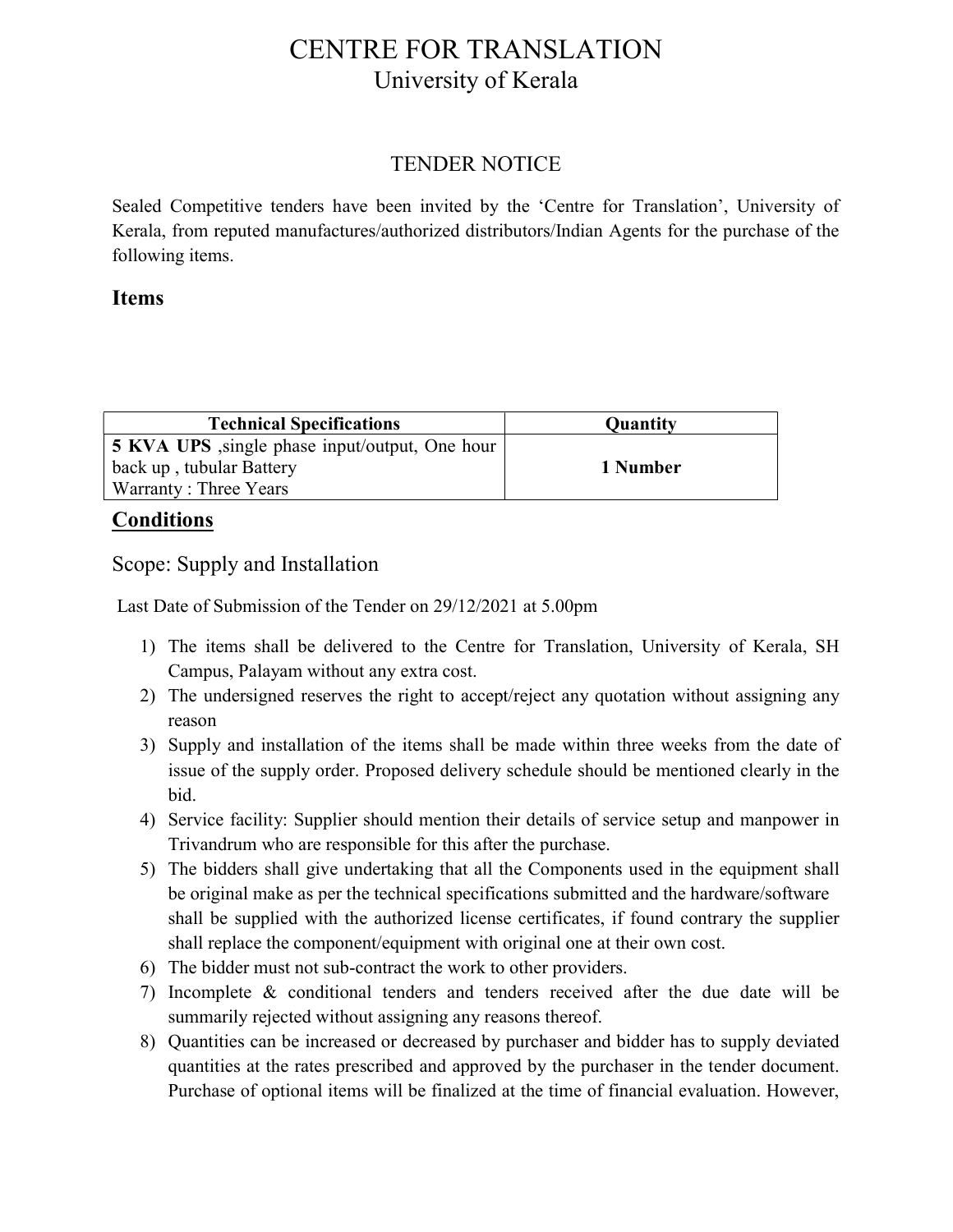## CENTRE FOR TRANSLATION University of Kerala

## TENDER NOTICE

Sealed Competitive tenders have been invited by the 'Centre for Translation', University of Kerala, from reputed manufactures/authorized distributors/Indian Agents for the purchase of the following items.

## Items

| <b>Technical Specifications</b>                        | <b>Quantity</b> |
|--------------------------------------------------------|-----------------|
| <b>5 KVA UPS</b> , single phase input/output, One hour |                 |
| back up, tubular Battery                               | 1 Number        |
| Warranty: Three Years                                  |                 |

## **Conditions**

Scope: Supply and Installation

Last Date of Submission of the Tender on 29/12/2021 at 5.00pm

- 1) The items shall be delivered to the Centre for Translation, University of Kerala, SH Campus, Palayam without any extra cost.
- 2) The undersigned reserves the right to accept/reject any quotation without assigning any reason
- 3) Supply and installation of the items shall be made within three weeks from the date of issue of the supply order. Proposed delivery schedule should be mentioned clearly in the bid.
- 4) Service facility: Supplier should mention their details of service setup and manpower in Trivandrum who are responsible for this after the purchase.
- 5) The bidders shall give undertaking that all the Components used in the equipment shall be original make as per the technical specifications submitted and the hardware/software shall be supplied with the authorized license certificates, if found contrary the supplier shall replace the component/equipment with original one at their own cost.
- 6) The bidder must not sub-contract the work to other providers.
- 7) Incomplete & conditional tenders and tenders received after the due date will be summarily rejected without assigning any reasons thereof.
- 8) Quantities can be increased or decreased by purchaser and bidder has to supply deviated quantities at the rates prescribed and approved by the purchaser in the tender document. Purchase of optional items will be finalized at the time of financial evaluation. However,